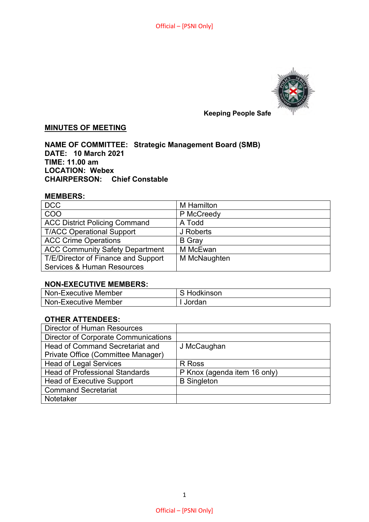

# **MINUTES OF MEETING**

**NAME OF COMMITTEE: Strategic Management Board (SMB) DATE: 10 March 2021 TIME: 11.00 am LOCATION: Webex CHAIRPERSON: Chief Constable** 

#### **MEMBERS:**

| <b>DCC</b>                             | M Hamilton    |
|----------------------------------------|---------------|
| COO                                    | P McCreedy    |
| <b>ACC District Policing Command</b>   | A Todd        |
| <b>T/ACC Operational Support</b>       | J Roberts     |
| <b>ACC Crime Operations</b>            | <b>B</b> Gray |
| <b>ACC Community Safety Department</b> | M McEwan      |
| T/E/Director of Finance and Support    | M McNaughten  |
| <b>Services &amp; Human Resources</b>  |               |

### **NON-EXECUTIVE MEMBERS:**

| Non-Executive Member | i Hodkinson |
|----------------------|-------------|
| Non-Executive Member | Jordan      |

## **OTHER ATTENDEES:**

| <b>Director of Human Resources</b>          |                              |
|---------------------------------------------|------------------------------|
| <b>Director of Corporate Communications</b> |                              |
| <b>Head of Command Secretariat and</b>      | J McCaughan                  |
| Private Office (Committee Manager)          |                              |
| <b>Head of Legal Services</b>               | R Ross                       |
| <b>Head of Professional Standards</b>       | P Knox (agenda item 16 only) |
| <b>Head of Executive Support</b>            | <b>B</b> Singleton           |
| <b>Command Secretariat</b>                  |                              |
| Notetaker                                   |                              |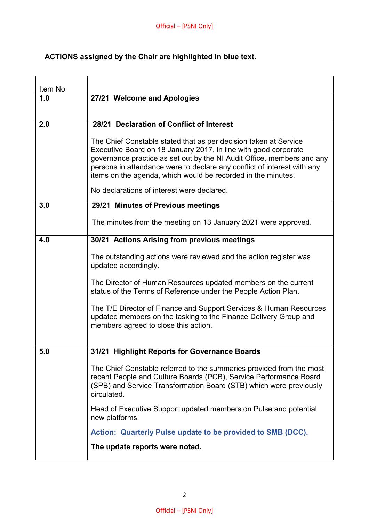# **ACTIONS assigned by the Chair are highlighted in blue text.**

| Item No |                                                                                                                                                                                                                                |
|---------|--------------------------------------------------------------------------------------------------------------------------------------------------------------------------------------------------------------------------------|
| 1.0     | 27/21 Welcome and Apologies                                                                                                                                                                                                    |
| 2.0     | 28/21 Declaration of Conflict of Interest                                                                                                                                                                                      |
|         | The Chief Constable stated that as per decision taken at Service<br>Executive Board on 18 January 2017, in line with good corporate                                                                                            |
|         | governance practice as set out by the NI Audit Office, members and any<br>persons in attendance were to declare any conflict of interest with any<br>items on the agenda, which would be recorded in the minutes.              |
|         | No declarations of interest were declared.                                                                                                                                                                                     |
| 3.0     | 29/21 Minutes of Previous meetings                                                                                                                                                                                             |
|         | The minutes from the meeting on 13 January 2021 were approved.                                                                                                                                                                 |
| 4.0     | 30/21 Actions Arising from previous meetings                                                                                                                                                                                   |
|         | The outstanding actions were reviewed and the action register was<br>updated accordingly.                                                                                                                                      |
|         | The Director of Human Resources updated members on the current<br>status of the Terms of Reference under the People Action Plan.                                                                                               |
|         | The T/E Director of Finance and Support Services & Human Resources<br>updated members on the tasking to the Finance Delivery Group and<br>members agreed to close this action.                                                 |
| 5.0     | 31/21 Highlight Reports for Governance Boards                                                                                                                                                                                  |
|         | The Chief Constable referred to the summaries provided from the most<br>recent People and Culture Boards (PCB), Service Performance Board<br>(SPB) and Service Transformation Board (STB) which were previously<br>circulated. |
|         | Head of Executive Support updated members on Pulse and potential<br>new platforms.                                                                                                                                             |
|         | Action: Quarterly Pulse update to be provided to SMB (DCC).                                                                                                                                                                    |
|         | The update reports were noted.                                                                                                                                                                                                 |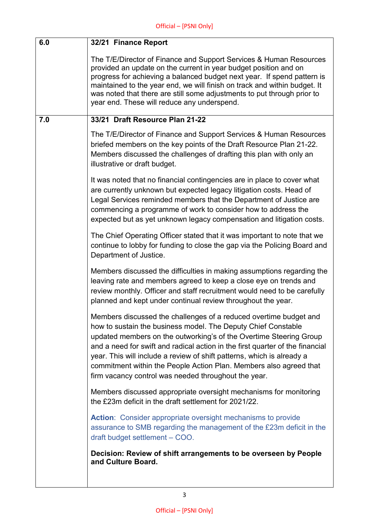| 6.0 | 32/21 Finance Report                                                                                                                                                                                                                                                                                                                                                                                                                                                                              |
|-----|---------------------------------------------------------------------------------------------------------------------------------------------------------------------------------------------------------------------------------------------------------------------------------------------------------------------------------------------------------------------------------------------------------------------------------------------------------------------------------------------------|
|     | The T/E/Director of Finance and Support Services & Human Resources<br>provided an update on the current in year budget position and on<br>progress for achieving a balanced budget next year. If spend pattern is<br>maintained to the year end, we will finish on track and within budget. It<br>was noted that there are still some adjustments to put through prior to<br>year end. These will reduce any underspend.                                                                          |
| 7.0 | 33/21 Draft Resource Plan 21-22                                                                                                                                                                                                                                                                                                                                                                                                                                                                   |
|     | The T/E/Director of Finance and Support Services & Human Resources<br>briefed members on the key points of the Draft Resource Plan 21-22.<br>Members discussed the challenges of drafting this plan with only an<br>illustrative or draft budget.                                                                                                                                                                                                                                                 |
|     | It was noted that no financial contingencies are in place to cover what<br>are currently unknown but expected legacy litigation costs. Head of<br>Legal Services reminded members that the Department of Justice are<br>commencing a programme of work to consider how to address the<br>expected but as yet unknown legacy compensation and litigation costs.                                                                                                                                    |
|     | The Chief Operating Officer stated that it was important to note that we<br>continue to lobby for funding to close the gap via the Policing Board and<br>Department of Justice.                                                                                                                                                                                                                                                                                                                   |
|     | Members discussed the difficulties in making assumptions regarding the<br>leaving rate and members agreed to keep a close eye on trends and<br>review monthly. Officer and staff recruitment would need to be carefully<br>planned and kept under continual review throughout the year.                                                                                                                                                                                                           |
|     | Members discussed the challenges of a reduced overtime budget and<br>how to sustain the business model. The Deputy Chief Constable<br>updated members on the outworking's of the Overtime Steering Group<br>and a need for swift and radical action in the first quarter of the financial<br>year. This will include a review of shift patterns, which is already a<br>commitment within the People Action Plan. Members also agreed that<br>firm vacancy control was needed throughout the year. |
|     | Members discussed appropriate oversight mechanisms for monitoring<br>the £23m deficit in the draft settlement for 2021/22.                                                                                                                                                                                                                                                                                                                                                                        |
|     | Action: Consider appropriate oversight mechanisms to provide<br>assurance to SMB regarding the management of the £23m deficit in the<br>draft budget settlement - COO.                                                                                                                                                                                                                                                                                                                            |
|     | Decision: Review of shift arrangements to be overseen by People<br>and Culture Board.                                                                                                                                                                                                                                                                                                                                                                                                             |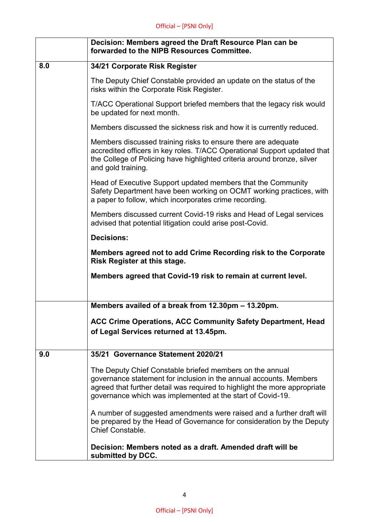|     | Decision: Members agreed the Draft Resource Plan can be<br>forwarded to the NIPB Resources Committee.                                                                                                                                                                     |
|-----|---------------------------------------------------------------------------------------------------------------------------------------------------------------------------------------------------------------------------------------------------------------------------|
| 8.0 | 34/21 Corporate Risk Register                                                                                                                                                                                                                                             |
|     | The Deputy Chief Constable provided an update on the status of the<br>risks within the Corporate Risk Register.                                                                                                                                                           |
|     | T/ACC Operational Support briefed members that the legacy risk would<br>be updated for next month.                                                                                                                                                                        |
|     | Members discussed the sickness risk and how it is currently reduced.                                                                                                                                                                                                      |
|     | Members discussed training risks to ensure there are adequate<br>accredited officers in key roles. T/ACC Operational Support updated that<br>the College of Policing have highlighted criteria around bronze, silver<br>and gold training.                                |
|     | Head of Executive Support updated members that the Community<br>Safety Department have been working on OCMT working practices, with<br>a paper to follow, which incorporates crime recording.                                                                             |
|     | Members discussed current Covid-19 risks and Head of Legal services<br>advised that potential litigation could arise post-Covid.                                                                                                                                          |
|     | <b>Decisions:</b>                                                                                                                                                                                                                                                         |
|     | Members agreed not to add Crime Recording risk to the Corporate<br>Risk Register at this stage.                                                                                                                                                                           |
|     | Members agreed that Covid-19 risk to remain at current level.                                                                                                                                                                                                             |
|     |                                                                                                                                                                                                                                                                           |
|     | Members availed of a break from 12.30pm - 13.20pm.                                                                                                                                                                                                                        |
|     | ACC Crime Operations, ACC Community Safety Department, Head<br>of Legal Services returned at 13.45pm.                                                                                                                                                                     |
| 9.0 | 35/21 Governance Statement 2020/21                                                                                                                                                                                                                                        |
|     | The Deputy Chief Constable briefed members on the annual<br>governance statement for inclusion in the annual accounts. Members<br>agreed that further detail was required to highlight the more appropriate<br>governance which was implemented at the start of Covid-19. |
|     | A number of suggested amendments were raised and a further draft will<br>be prepared by the Head of Governance for consideration by the Deputy<br><b>Chief Constable.</b>                                                                                                 |
|     | Decision: Members noted as a draft. Amended draft will be<br>submitted by DCC.                                                                                                                                                                                            |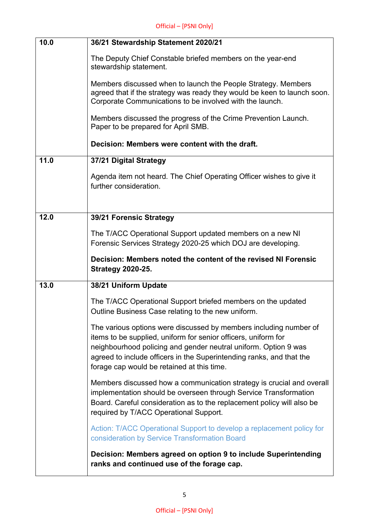| 10.0 | 36/21 Stewardship Statement 2020/21                                                                                                                                                                                                                                                                                          |
|------|------------------------------------------------------------------------------------------------------------------------------------------------------------------------------------------------------------------------------------------------------------------------------------------------------------------------------|
|      | The Deputy Chief Constable briefed members on the year-end<br>stewardship statement.                                                                                                                                                                                                                                         |
|      | Members discussed when to launch the People Strategy. Members<br>agreed that if the strategy was ready they would be keen to launch soon.<br>Corporate Communications to be involved with the launch.                                                                                                                        |
|      | Members discussed the progress of the Crime Prevention Launch.<br>Paper to be prepared for April SMB.                                                                                                                                                                                                                        |
|      | Decision: Members were content with the draft.                                                                                                                                                                                                                                                                               |
| 11.0 | 37/21 Digital Strategy                                                                                                                                                                                                                                                                                                       |
|      | Agenda item not heard. The Chief Operating Officer wishes to give it<br>further consideration.                                                                                                                                                                                                                               |
| 12.0 | 39/21 Forensic Strategy                                                                                                                                                                                                                                                                                                      |
|      |                                                                                                                                                                                                                                                                                                                              |
|      | The T/ACC Operational Support updated members on a new NI<br>Forensic Services Strategy 2020-25 which DOJ are developing.                                                                                                                                                                                                    |
|      | Decision: Members noted the content of the revised NI Forensic<br><b>Strategy 2020-25.</b>                                                                                                                                                                                                                                   |
| 13.0 | 38/21 Uniform Update                                                                                                                                                                                                                                                                                                         |
|      | The T/ACC Operational Support briefed members on the updated<br>Outline Business Case relating to the new uniform.                                                                                                                                                                                                           |
|      | The various options were discussed by members including number of<br>items to be supplied, uniform for senior officers, uniform for<br>neighbourhood policing and gender neutral uniform. Option 9 was<br>agreed to include officers in the Superintending ranks, and that the<br>forage cap would be retained at this time. |
|      | Members discussed how a communication strategy is crucial and overall<br>implementation should be overseen through Service Transformation<br>Board. Careful consideration as to the replacement policy will also be<br>required by T/ACC Operational Support.                                                                |
|      | Action: T/ACC Operational Support to develop a replacement policy for<br>consideration by Service Transformation Board                                                                                                                                                                                                       |
|      | Decision: Members agreed on option 9 to include Superintending<br>ranks and continued use of the forage cap.                                                                                                                                                                                                                 |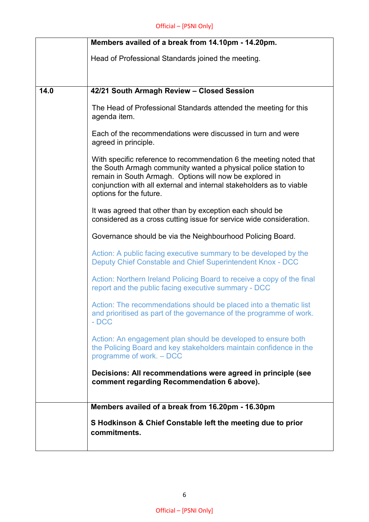|      | Members availed of a break from 14.10pm - 14.20pm.                                                                                                                                                                                                                                                 |
|------|----------------------------------------------------------------------------------------------------------------------------------------------------------------------------------------------------------------------------------------------------------------------------------------------------|
|      | Head of Professional Standards joined the meeting.                                                                                                                                                                                                                                                 |
|      |                                                                                                                                                                                                                                                                                                    |
| 14.0 | 42/21 South Armagh Review - Closed Session                                                                                                                                                                                                                                                         |
|      | The Head of Professional Standards attended the meeting for this<br>agenda item.                                                                                                                                                                                                                   |
|      | Each of the recommendations were discussed in turn and were<br>agreed in principle.                                                                                                                                                                                                                |
|      | With specific reference to recommendation 6 the meeting noted that<br>the South Armagh community wanted a physical police station to<br>remain in South Armagh. Options will now be explored in<br>conjunction with all external and internal stakeholders as to viable<br>options for the future. |
|      | It was agreed that other than by exception each should be<br>considered as a cross cutting issue for service wide consideration.                                                                                                                                                                   |
|      | Governance should be via the Neighbourhood Policing Board.                                                                                                                                                                                                                                         |
|      | Action: A public facing executive summary to be developed by the<br>Deputy Chief Constable and Chief Superintendent Knox - DCC                                                                                                                                                                     |
|      | Action: Northern Ireland Policing Board to receive a copy of the final<br>report and the public facing executive summary - DCC                                                                                                                                                                     |
|      | Action: The recommendations should be placed into a thematic list<br>and prioritised as part of the governance of the programme of work.<br>$- DCC$                                                                                                                                                |
|      | Action: An engagement plan should be developed to ensure both<br>the Policing Board and key stakeholders maintain confidence in the<br>programme of work. - DCC                                                                                                                                    |
|      | Decisions: All recommendations were agreed in principle (see<br>comment regarding Recommendation 6 above).                                                                                                                                                                                         |
|      | Members availed of a break from 16.20pm - 16.30pm                                                                                                                                                                                                                                                  |
|      | S Hodkinson & Chief Constable left the meeting due to prior<br>commitments.                                                                                                                                                                                                                        |